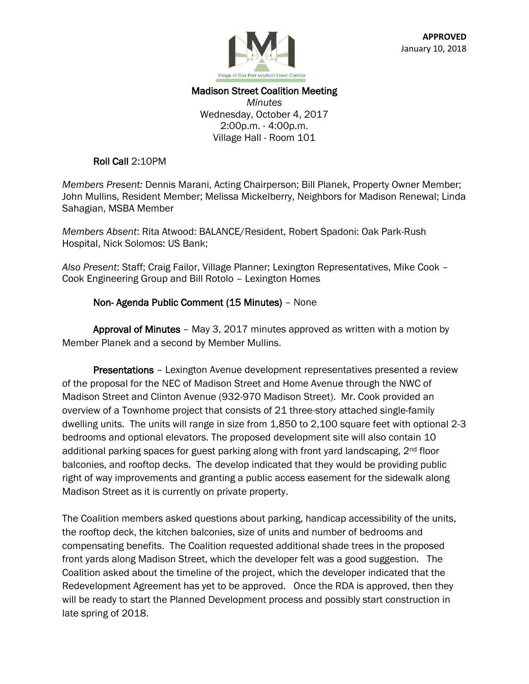

# Madison Street Coalition Meeting

*Minutes* Wednesday, October 4, 2017 2:00p.m. - 4:00p.m. Village Hall - Room 101

#### Roll Call 2:10PM

*Members Present:* Dennis Marani, Acting Chairperson; Bill Planek, Property Owner Member; John Mullins, Resident Member; Melissa Mickelberry, Neighbors for Madison Renewal; Linda Sahagian, MSBA Member

*Members Absent*: Rita Atwood: BALANCE/Resident, Robert Spadoni: Oak Park-Rush Hospital, Nick Solomos: US Bank;

*Also Present*: Staff; Craig Failor, Village Planner; Lexington Representatives, Mike Cook – Cook Engineering Group and Bill Rotolo – Lexington Homes

#### Non- Agenda Public Comment (15 Minutes) – None

 Approval of Minutes – May 3, 2017 minutes approved as written with a motion by Member Planek and a second by Member Mullins.

Presentations - Lexington Avenue development representatives presented a review of the proposal for the NEC of Madison Street and Home Avenue through the NWC of Madison Street and Clinton Avenue (932-970 Madison Street). Mr. Cook provided an overview of a Townhome project that consists of 21 three-story attached single-family dwelling units. The units will range in size from 1,850 to 2,100 square feet with optional 2-3 bedrooms and optional elevators. The proposed development site will also contain 10 additional parking spaces for guest parking along with front yard landscaping, 2<sup>nd</sup> floor balconies, and rooftop decks. The develop indicated that they would be providing public right of way improvements and granting a public access easement for the sidewalk along Madison Street as it is currently on private property.

The Coalition members asked questions about parking, handicap accessibility of the units, the rooftop deck, the kitchen balconies, size of units and number of bedrooms and compensating benefits. The Coalition requested additional shade trees in the proposed front yards along Madison Street, which the developer felt was a good suggestion. The Coalition asked about the timeline of the project, which the developer indicated that the Redevelopment Agreement has yet to be approved. Once the RDA is approved, then they will be ready to start the Planned Development process and possibly start construction in late spring of 2018.